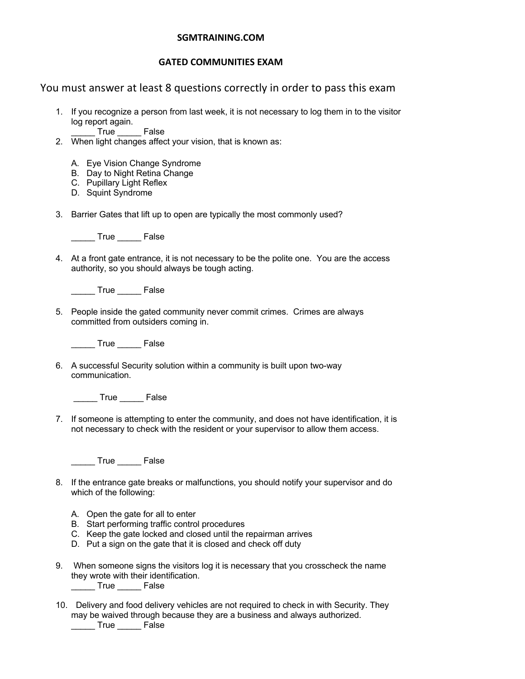### **SGMTRAINING.COM**

#### **GATED COMMUNITIES EXAM**

## You must answer at least 8 questions correctly in order to pass this exam

1. If you recognize a person from last week, it is not necessary to log them in to the visitor log report again.

\_\_\_\_\_ True \_\_\_\_\_ False

- 2. When light changes affect your vision, that is known as:
	- A. Eye Vision Change Syndrome
	- B. Day to Night Retina Change
	- C. Pupillary Light Reflex
	- D. Squint Syndrome
- 3. Barrier Gates that lift up to open are typically the most commonly used?

True False

4. At a front gate entrance, it is not necessary to be the polite one. You are the access authority, so you should always be tough acting.

\_\_\_\_\_ True \_\_\_\_\_ False

5. People inside the gated community never commit crimes. Crimes are always committed from outsiders coming in.

\_\_\_\_\_ True \_\_\_\_\_ False

6. A successful Security solution within a community is built upon two-way communication.

True False

7. If someone is attempting to enter the community, and does not have identification, it is not necessary to check with the resident or your supervisor to allow them access.

\_\_\_\_\_ True \_\_\_\_\_ False

- 8. If the entrance gate breaks or malfunctions, you should notify your supervisor and do which of the following:
	- A. Open the gate for all to enter
	- B. Start performing traffic control procedures
	- C. Keep the gate locked and closed until the repairman arrives
	- D. Put a sign on the gate that it is closed and check off duty
- 9. When someone signs the visitors log it is necessary that you crosscheck the name they wrote with their identification. \_\_\_\_\_ True \_\_\_\_\_ False
- 10. Delivery and food delivery vehicles are not required to check in with Security. They may be waived through because they are a business and always authorized. \_\_\_\_\_ True \_\_\_\_\_ False